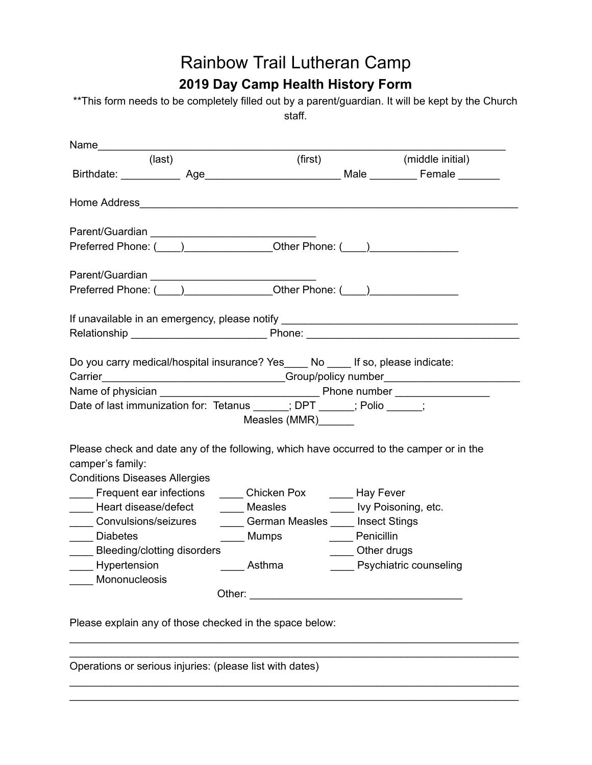## Rainbow Trail Lutheran Camp **2019 Day Camp Health History Form**

\*\*This form needs to be completely filled out by a parent/guardian. It will be kept by the Church staff.

| (last)                                                                                                                                                                                                                         |                     |             | (first) (middle initial) |
|--------------------------------------------------------------------------------------------------------------------------------------------------------------------------------------------------------------------------------|---------------------|-------------|--------------------------|
|                                                                                                                                                                                                                                |                     |             |                          |
| Home Address <b>Manual Address Manual Address Manual Address Manual Address Manual Address</b>                                                                                                                                 |                     |             |                          |
|                                                                                                                                                                                                                                |                     |             |                          |
| Preferred Phone: (Comparison Latin Comparison Latin Comparison Latin Comparison Latin Comparison Latin Compari                                                                                                                 |                     |             |                          |
|                                                                                                                                                                                                                                |                     |             |                          |
| Preferred Phone: (Campbell 2014) [Other Phone: (Campbell 2014) [Other Phone: (Campbell 2014) [Other Phone: (Campbell 2014) [Other Phone: (Campbell 2014) [Other Phone: (Campbell 2014) [Other Phone: (Campbell 2014) [Other Ph |                     |             |                          |
|                                                                                                                                                                                                                                |                     |             |                          |
| Do you carry medical/hospital insurance? Yes_____ No ____ If so, please indicate:<br>Carrier_______________________________Group/policy number_______________________                                                          |                     |             |                          |
|                                                                                                                                                                                                                                |                     |             |                          |
| Date of last immunization for: Tetanus _____; DPT _____; Polio ____;                                                                                                                                                           |                     |             |                          |
|                                                                                                                                                                                                                                | Measles (MMR)______ |             |                          |
| Please check and date any of the following, which have occurred to the camper or in the<br>camper's family:<br><b>Conditions Diseases Allergies</b>                                                                            |                     |             |                          |
| Frequent ear infections ______ Chicken Pox ______ Hay Fever                                                                                                                                                                    |                     |             |                          |
| ____ Heart disease/defect ______ Measles ________ Ivy Poisoning, etc.                                                                                                                                                          |                     |             |                          |
| Convulsions/seizures ________German Measles _____ Insect Stings                                                                                                                                                                |                     |             |                          |
| ______ Mumps __________ Penicillin<br>_____ Diabetes                                                                                                                                                                           |                     |             |                          |
| ____ Bleeding/clotting disorders                                                                                                                                                                                               |                     | Other drugs |                          |
|                                                                                                                                                                                                                                |                     |             |                          |
| Mononucleosis                                                                                                                                                                                                                  |                     |             |                          |
|                                                                                                                                                                                                                                |                     |             |                          |
| Please explain any of those checked in the space below:                                                                                                                                                                        |                     |             |                          |
|                                                                                                                                                                                                                                |                     |             |                          |
|                                                                                                                                                                                                                                |                     |             |                          |

\_\_\_\_\_\_\_\_\_\_\_\_\_\_\_\_\_\_\_\_\_\_\_\_\_\_\_\_\_\_\_\_\_\_\_\_\_\_\_\_\_\_\_\_\_\_\_\_\_\_\_\_\_\_\_\_\_\_\_\_\_\_\_\_\_\_\_\_\_\_\_\_\_\_\_\_ \_\_\_\_\_\_\_\_\_\_\_\_\_\_\_\_\_\_\_\_\_\_\_\_\_\_\_\_\_\_\_\_\_\_\_\_\_\_\_\_\_\_\_\_\_\_\_\_\_\_\_\_\_\_\_\_\_\_\_\_\_\_\_\_\_\_\_\_\_\_\_\_\_\_\_\_

Operations or serious injuries: (please list with dates)